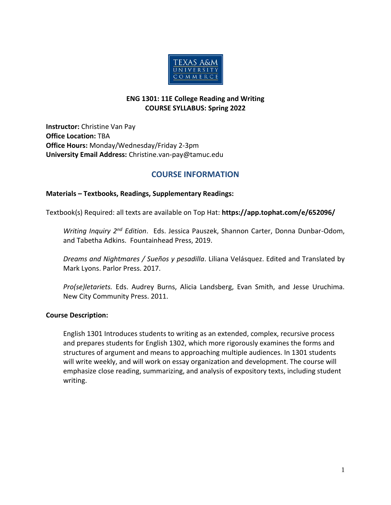

### **ENG 1301: 11E College Reading and Writing COURSE SYLLABUS: Spring 2022**

**Instructor:** Christine Van Pay **Office Location:** TBA **Office Hours:** Monday/Wednesday/Friday 2-3pm **University Email Address:** Christine.van-pay@tamuc.edu

## **COURSE INFORMATION**

#### **Materials – Textbooks, Readings, Supplementary Readings:**

Textbook(s) Required: all texts are available on Top Hat: **https://app.tophat.com/e/652096/**

*Writing Inquiry 2nd Edition*. Eds. Jessica Pauszek, Shannon Carter, Donna Dunbar-Odom, and Tabetha Adkins. Fountainhead Press, 2019.

*Dreams and Nightmares / Sueños y pesadilla*. Liliana Velásquez. Edited and Translated by Mark Lyons. Parlor Press. 2017.

*Pro(se)letariets.* Eds. Audrey Burns, Alicia Landsberg, Evan Smith, and Jesse Uruchima. New City Community Press. 2011.

#### **Course Description:**

English 1301 Introduces students to writing as an extended, complex, recursive process and prepares students for English 1302, which more rigorously examines the forms and structures of argument and means to approaching multiple audiences. In 1301 students will write weekly, and will work on essay organization and development. The course will emphasize close reading, summarizing, and analysis of expository texts, including student writing.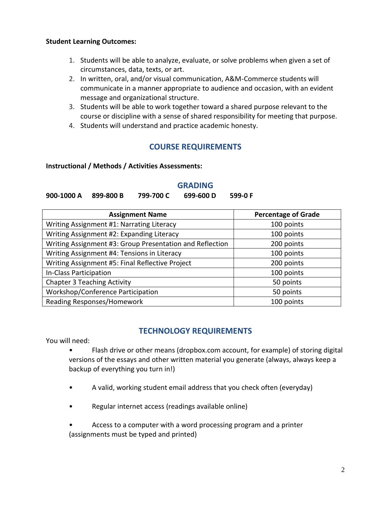### **Student Learning Outcomes:**

- 1. Students will be able to analyze, evaluate, or solve problems when given a set of circumstances, data, texts, or art.
- 2. In written, oral, and/or visual communication, A&M-Commerce students will communicate in a manner appropriate to audience and occasion, with an evident message and organizational structure.
- 3. Students will be able to work together toward a shared purpose relevant to the course or discipline with a sense of shared responsibility for meeting that purpose.
- 4. Students will understand and practice academic honesty.

## **COURSE REQUIREMENTS**

#### **Instructional / Methods / Activities Assessments:**

#### **GRADING**

**900-1000 A 899-800 B 799-700 C 699-600 D 599-0 F**

| <b>Assignment Name</b>                                   | <b>Percentage of Grade</b> |
|----------------------------------------------------------|----------------------------|
| Writing Assignment #1: Narrating Literacy                | 100 points                 |
| Writing Assignment #2: Expanding Literacy                | 100 points                 |
| Writing Assignment #3: Group Presentation and Reflection | 200 points                 |
| Writing Assignment #4: Tensions in Literacy              | 100 points                 |
| Writing Assignment #5: Final Reflective Project          | 200 points                 |
| In-Class Participation                                   | 100 points                 |
| <b>Chapter 3 Teaching Activity</b>                       | 50 points                  |
| Workshop/Conference Participation                        | 50 points                  |
| Reading Responses/Homework                               | 100 points                 |

## **TECHNOLOGY REQUIREMENTS**

You will need:

- Flash drive or other means (dropbox.com account, for example) of storing digital versions of the essays and other written material you generate (always, always keep a backup of everything you turn in!)
- A valid, working student email address that you check often (everyday)
- Regular internet access (readings available online)
- Access to a computer with a word processing program and a printer (assignments must be typed and printed)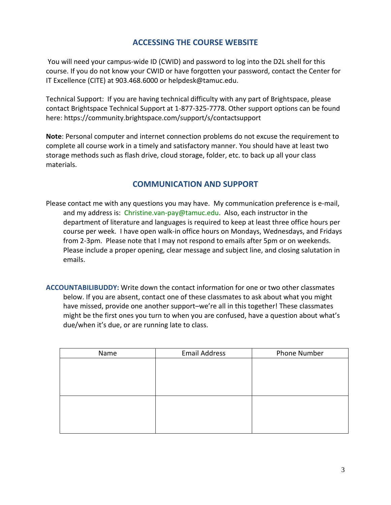# **ACCESSING THE COURSE WEBSITE**

You will need your campus-wide ID (CWID) and password to log into the D2L shell for this course. If you do not know your CWID or have forgotten your password, contact the Center for IT Excellence (CITE) at 903.468.6000 or helpdesk@tamuc.edu.

Technical Support: If you are having technical difficulty with any part of Brightspace, please contact Brightspace Technical Support at 1-877-325-7778. Other support options can be found here: https://community.brightspace.com/support/s/contactsupport

**Note**: Personal computer and internet connection problems do not excuse the requirement to complete all course work in a timely and satisfactory manner. You should have at least two storage methods such as flash drive, cloud storage, folder, etc. to back up all your class materials.

# **COMMUNICATION AND SUPPORT**

- Please contact me with any questions you may have. My communication preference is e-mail, and my address is: Christine.van-pay@tamuc.edu. Also, each instructor in the department of literature and languages is required to keep at least three office hours per course per week. I have open walk-in office hours on Mondays, Wednesdays, and Fridays from 2-3pm. Please note that I may not respond to emails after 5pm or on weekends. Please include a proper opening, clear message and subject line, and closing salutation in emails.
- **ACCOUNTABILIBUDDY:** Write down the contact information for one or two other classmates below. If you are absent, contact one of these classmates to ask about what you might have missed, provide one another support–we're all in this together! These classmates might be the first ones you turn to when you are confused, have a question about what's due/when it's due, or are running late to class.

| Name | <b>Email Address</b> | Phone Number |
|------|----------------------|--------------|
|      |                      |              |
|      |                      |              |
|      |                      |              |
|      |                      |              |
|      |                      |              |
|      |                      |              |
|      |                      |              |
|      |                      |              |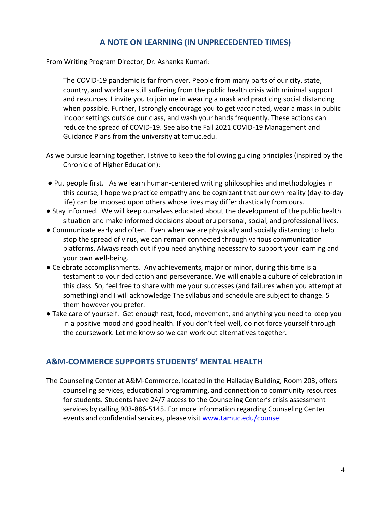# **A NOTE ON LEARNING (IN UNPRECEDENTED TIMES)**

From Writing Program Director, Dr. Ashanka Kumari:

The COVID-19 pandemic is far from over. People from many parts of our city, state, country, and world are still suffering from the public health crisis with minimal support and resources. I invite you to join me in wearing a mask and practicing social distancing when possible. Further, I strongly encourage you to get vaccinated, wear a mask in public indoor settings outside our class, and wash your hands frequently. These actions can reduce the spread of COVID-19. See also the Fall 2021 COVID-19 Management and Guidance Plans from the university at tamuc.edu.

- As we pursue learning together, I strive to keep the following guiding principles (inspired by the Chronicle of Higher Education):
- Put people first. As we learn human-centered writing philosophies and methodologies in this course, I hope we practice empathy and be cognizant that our own reality (day-to-day life) can be imposed upon others whose lives may differ drastically from ours.
- Stay informed. We will keep ourselves educated about the development of the public health situation and make informed decisions about oru personal, social, and professional lives.
- Communicate early and often. Even when we are physically and socially distancing to help stop the spread of virus, we can remain connected through various communication platforms. Always reach out if you need anything necessary to support your learning and your own well-being.
- Celebrate accomplishments. Any achievements, major or minor, during this time is a testament to your dedication and perseverance. We will enable a culture of celebration in this class. So, feel free to share with me your successes (and failures when you attempt at something) and I will acknowledge The syllabus and schedule are subject to change. 5 them however you prefer.
- Take care of yourself. Get enough rest, food, movement, and anything you need to keep you in a positive mood and good health. If you don't feel well, do not force yourself through the coursework. Let me know so we can work out alternatives together.

## **A&M-COMMERCE SUPPORTS STUDENTS' MENTAL HEALTH**

The Counseling Center at A&M-Commerce, located in the Halladay Building, Room 203, offers counseling services, educational programming, and connection to community resources for students. Students have 24/7 access to the Counseling Center's crisis assessment services by calling 903-886-5145. For more information regarding Counseling Center events and confidential services, please visit [www.tamuc.edu/counsel](http://www.tamuc.edu/counsel)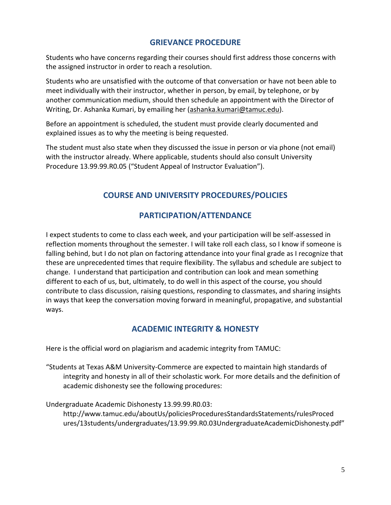## **GRIEVANCE PROCEDURE**

Students who have concerns regarding their courses should first address those concerns with the assigned instructor in order to reach a resolution.

Students who are unsatisfied with the outcome of that conversation or have not been able to meet individually with their instructor, whether in person, by email, by telephone, or by another communication medium, should then schedule an appointment with the Director of Writing, Dr. Ashanka Kumari, by emailing her [\(ashanka.kumari@tamuc.edu\)](mailto:ashanka.kumari@tamuc.edu).

Before an appointment is scheduled, the student must provide clearly documented and explained issues as to why the meeting is being requested.

The student must also state when they discussed the issue in person or via phone (not email) with the instructor already. Where applicable, students should also consult University Procedure 13.99.99.R0.05 ("Student Appeal of Instructor Evaluation").

# **COURSE AND UNIVERSITY PROCEDURES/POLICIES**

# **PARTICIPATION/ATTENDANCE**

I expect students to come to class each week, and your participation will be self-assessed in reflection moments throughout the semester. I will take roll each class, so I know if someone is falling behind, but I do not plan on factoring attendance into your final grade as I recognize that these are unprecedented times that require flexibility. The syllabus and schedule are subject to change. I understand that participation and contribution can look and mean something different to each of us, but, ultimately, to do well in this aspect of the course, you should contribute to class discussion, raising questions, responding to classmates, and sharing insights in ways that keep the conversation moving forward in meaningful, propagative, and substantial ways.

# **ACADEMIC INTEGRITY & HONESTY**

Here is the official word on plagiarism and academic integrity from TAMUC:

"Students at Texas A&M University-Commerce are expected to maintain high standards of integrity and honesty in all of their scholastic work. For more details and the definition of academic dishonesty see the following procedures:

Undergraduate Academic Dishonesty 13.99.99.R0.03:

http://www.tamuc.edu/aboutUs/policiesProceduresStandardsStatements/rulesProced ures/13students/undergraduates/13.99.99.R0.03UndergraduateAcademicDishonesty.pdf"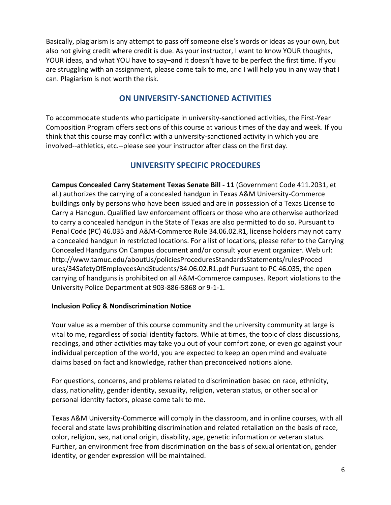Basically, plagiarism is any attempt to pass off someone else's words or ideas as your own, but also not giving credit where credit is due. As your instructor, I want to know YOUR thoughts, YOUR ideas, and what YOU have to say–and it doesn't have to be perfect the first time. If you are struggling with an assignment, please come talk to me, and I will help you in any way that I can. Plagiarism is not worth the risk.

# **ON UNIVERSITY-SANCTIONED ACTIVITIES**

To accommodate students who participate in university-sanctioned activities, the First-Year Composition Program offers sections of this course at various times of the day and week. If you think that this course may conflict with a university-sanctioned activity in which you are involved--athletics, etc.--please see your instructor after class on the first day*.* 

# **UNIVERSITY SPECIFIC PROCEDURES**

**Campus Concealed Carry Statement Texas Senate Bill - 11** (Government Code 411.2031, et al.) authorizes the carrying of a concealed handgun in Texas A&M University-Commerce buildings only by persons who have been issued and are in possession of a Texas License to Carry a Handgun. Qualified law enforcement officers or those who are otherwise authorized to carry a concealed handgun in the State of Texas are also permitted to do so. Pursuant to Penal Code (PC) 46.035 and A&M-Commerce Rule 34.06.02.R1, license holders may not carry a concealed handgun in restricted locations. For a list of locations, please refer to the Carrying Concealed Handguns On Campus document and/or consult your event organizer. Web url: http://www.tamuc.edu/aboutUs/policiesProceduresStandardsStatements/rulesProced ures/34SafetyOfEmployeesAndStudents/34.06.02.R1.pdf Pursuant to PC 46.035, the open carrying of handguns is prohibited on all A&M-Commerce campuses. Report violations to the University Police Department at 903-886-5868 or 9-1-1.

## **Inclusion Policy & Nondiscrimination Notice**

Your value as a member of this course community and the university community at large is vital to me, regardless of social identity factors. While at times, the topic of class discussions, readings, and other activities may take you out of your comfort zone, or even go against your individual perception of the world, you are expected to keep an open mind and evaluate claims based on fact and knowledge, rather than preconceived notions alone.

For questions, concerns, and problems related to discrimination based on race, ethnicity, class, nationality, gender identity, sexuality, religion, veteran status, or other social or personal identity factors, please come talk to me.

Texas A&M University-Commerce will comply in the classroom, and in online courses, with all federal and state laws prohibiting discrimination and related retaliation on the basis of race, color, religion, sex, national origin, disability, age, genetic information or veteran status. Further, an environment free from discrimination on the basis of sexual orientation, gender identity, or gender expression will be maintained.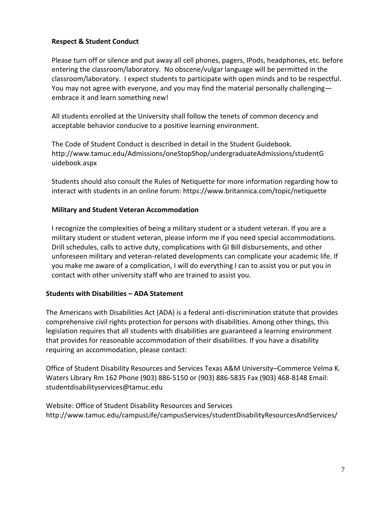### **Respect & Student Conduct**

Please turn off or silence and put away all cell phones, pagers, IPods, headphones, etc. before entering the classroom/laboratory. No obscene/vulgar language will be permitted in the classroom/laboratory. I expect students to participate with open minds and to be respectful. You may not agree with everyone, and you may find the material personally challenging embrace it and learn something new!

All students enrolled at the University shall follow the tenets of common decency and acceptable behavior conducive to a positive learning environment.

The Code of Student Conduct is described in detail in the Student Guidebook. http://www.tamuc.edu/Admissions/oneStopShop/undergraduateAdmissions/studentG uidebook.aspx

Students should also consult the Rules of Netiquette for more information regarding how to interact with students in an online forum: https://www.britannica.com/topic/netiquette

### **Military and Student Veteran Accommodation**

I recognize the complexities of being a military student or a student veteran. If you are a military student or student veteran, please inform me if you need special accommodations. Drill schedules, calls to active duty, complications with GI Bill disbursements, and other unforeseen military and veteran-related developments can complicate your academic life. If you make me aware of a complication, I will do everything I can to assist you or put you in contact with other university staff who are trained to assist you.

#### **Students with Disabilities – ADA Statement**

The Americans with Disabilities Act (ADA) is a federal anti-discrimination statute that provides comprehensive civil rights protection for persons with disabilities. Among other things, this legislation requires that all students with disabilities are guaranteed a learning environment that provides for reasonable accommodation of their disabilities. If you have a disability requiring an accommodation, please contact:

Office of Student Disability Resources and Services Texas A&M University–Commerce Velma K. Waters Library Rm 162 Phone (903) 886-5150 or (903) 886-5835 Fax (903) 468-8148 Email: studentdisabilityservices@tamuc.edu

Website: Office of Student Disability Resources and Services http://www.tamuc.edu/campusLife/campusServices/studentDisabilityResourcesAndServices/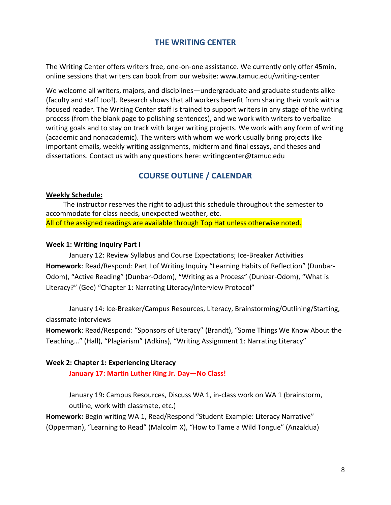## **THE WRITING CENTER**

The Writing Center offers writers free, one-on-one assistance. We currently only offer 45min, online sessions that writers can book from our website: www.tamuc.edu/writing-center

We welcome all writers, majors, and disciplines—undergraduate and graduate students alike (faculty and staff too!). Research shows that all workers benefit from sharing their work with a focused reader. The Writing Center staff is trained to support writers in any stage of the writing process (from the blank page to polishing sentences), and we work with writers to verbalize writing goals and to stay on track with larger writing projects. We work with any form of writing (academic and nonacademic). The writers with whom we work usually bring projects like important emails, weekly writing assignments, midterm and final essays, and theses and dissertations. Contact us with any questions here: writingcenter@tamuc.edu

# **COURSE OUTLINE / CALENDAR**

#### **Weekly Schedule:**

The instructor reserves the right to adjust this schedule throughout the semester to accommodate for class needs, unexpected weather, etc. All of the assigned readings are available through Top Hat unless otherwise noted.

#### **Week 1: Writing Inquiry Part I**

January 12: Review Syllabus and Course Expectations; Ice-Breaker Activities **Homework**: Read/Respond: Part I of Writing Inquiry "Learning Habits of Reflection" (Dunbar-Odom), "Active Reading" (Dunbar-Odom), "Writing as a Process" (Dunbar-Odom), "What is Literacy?" (Gee) "Chapter 1: Narrating Literacy/Interview Protocol"

January 14: Ice-Breaker/Campus Resources, Literacy, Brainstorming/Outlining/Starting, classmate interviews

**Homework**: Read/Respond: "Sponsors of Literacy" (Brandt), "Some Things We Know About the Teaching…" (Hall), "Plagiarism" (Adkins), "Writing Assignment 1: Narrating Literacy"

#### **Week 2: Chapter 1: Experiencing Literacy**

**January 17: Martin Luther King Jr. Day—No Class!**

January 19**:** Campus Resources, Discuss WA 1, in-class work on WA 1 (brainstorm, outline, work with classmate, etc.)

**Homework:** Begin writing WA 1, Read/Respond "Student Example: Literacy Narrative" (Opperman), "Learning to Read" (Malcolm X), "How to Tame a Wild Tongue" (Anzaldua)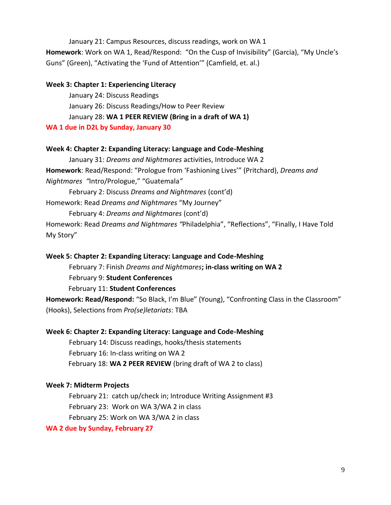January 21: Campus Resources, discuss readings, work on WA 1

**Homework**: Work on WA 1, Read/Respond: "On the Cusp of Invisibility" (Garcia), "My Uncle's Guns" (Green), "Activating the 'Fund of Attention'" (Camfield, et. al.)

#### **Week 3: Chapter 1: Experiencing Literacy**

January 24: Discuss Readings January 26: Discuss Readings/How to Peer Review January 28: **WA 1 PEER REVIEW (Bring in a draft of WA 1)**

**WA 1 due in D2L by Sunday, January 30**

### **Week 4: Chapter 2: Expanding Literacy: Language and Code-Meshing**

January 31: *Dreams and Nightmares* activities, Introduce WA 2 **Homework**: Read/Respond: "Prologue from 'Fashioning Lives'" (Pritchard), *Dreams and Nightmares "*Intro/Prologue," "Guatemala*"*

February 2: Discuss *Dreams and Nightmares* (cont'd)

Homework: Read *Dreams and Nightmares* "My Journey"

February 4: *Dreams and Nightmares* (cont'd)

Homework: Read *Dreams and Nightmares "*Philadelphia", "Reflections", "Finally, I Have Told My Story"

## **Week 5: Chapter 2: Expanding Literacy: Language and Code-Meshing**

February 7: Finish *Dreams and Nightmares***; in-class writing on WA 2** February 9: **Student Conferences** February 11: **Student Conferences**

**Homework: Read/Respond:** "So Black, I'm Blue" (Young), "Confronting Class in the Classroom" (Hooks), Selections from *Pro(se)letariats*: TBA

## **Week 6: Chapter 2: Expanding Literacy: Language and Code-Meshing**

February 14: Discuss readings, hooks/thesis statements February 16: In-class writing on WA 2 February 18: **WA 2 PEER REVIEW** (bring draft of WA 2 to class)

## **Week 7: Midterm Projects**

February 21: catch up/check in; Introduce Writing Assignment #3 February 23: Work on WA 3/WA 2 in class February 25: Work on WA 3/WA 2 in class

## **WA 2 due by Sunday, February 27**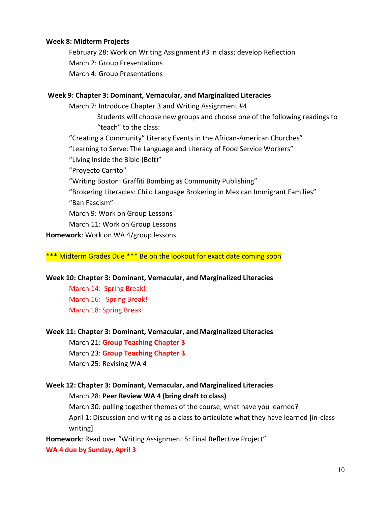#### **Week 8: Midterm Projects**

February 28: Work on Writing Assignment #3 in class; develop Reflection March 2: Group Presentations March 4: Group Presentations

#### **Week 9: Chapter 3: Dominant, Vernacular, and Marginalized Literacies**

March 7: Introduce Chapter 3 and Writing Assignment #4 Students will choose new groups and choose one of the following readings to "teach" to the class: "Creating a Community" Literacy Events in the African-American Churches" "Learning to Serve: The Language and Literacy of Food Service Workers" "Living Inside the Bible (Belt)" "Proyecto Carrito" "Writing Boston: Graffiti Bombing as Community Publishing" "Brokering Literacies: Child Language Brokering in Mexican Immigrant Families" "Ban Fascism" March 9: Work on Group Lessons March 11: Work on Group Lessons **Homework**: Work on WA 4/group lessons

#### \*\*\* Midterm Grades Due \*\*\* Be on the lookout for exact date coming soon

#### **Week 10: Chapter 3: Dominant, Vernacular, and Marginalized Literacies**

March 14: Spring Break! March 16: Spring Break! March 18: Spring Break!

#### **Week 11: Chapter 3: Dominant, Vernacular, and Marginalized Literacies**

March 21: **Group Teaching Chapter 3** March 23: **Group Teaching Chapter 3** March 25: Revising WA 4

## **Week 12: Chapter 3: Dominant, Vernacular, and Marginalized Literacies** March 28: **Peer Review WA 4 (bring draft to class)**

March 30: pulling together themes of the course; what have you learned? April 1: Discussion and writing as a class to articulate what they have learned [in-class writing]

**Homework**: Read over "Writing Assignment 5: Final Reflective Project"

**WA 4 due by Sunday, April 3**